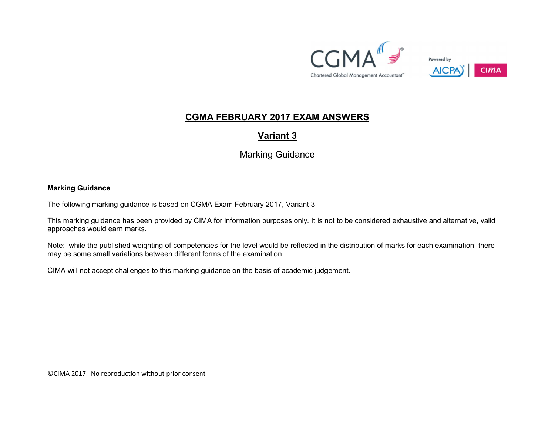



## CGMA FEBRUARY 2017 EXAM ANSWERS

Variant 3

## Marking Guidance

## Marking Guidance

The following marking guidance is based on CGMA Exam February 2017, Variant 3

This marking guidance has been provided by CIMA for information purposes only. It is not to be considered exhaustive and alternative, valid approaches would earn marks.

Note: while the published weighting of competencies for the level would be reflected in the distribution of marks for each examination, there may be some small variations between different forms of the examination.

CIMA will not accept challenges to this marking guidance on the basis of academic judgement.

©CIMA 2017. No reproduction without prior consent